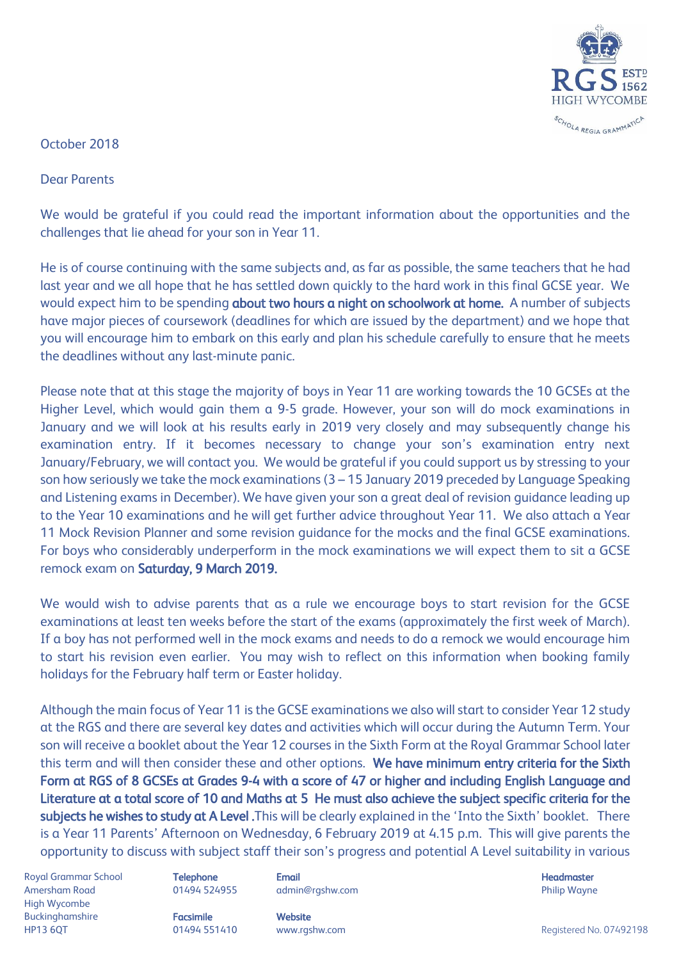

October 2018

Dear Parents

We would be grateful if you could read the important information about the opportunities and the challenges that lie ahead for your son in Year 11.

He is of course continuing with the same subjects and, as far as possible, the same teachers that he had last year and we all hope that he has settled down quickly to the hard work in this final GCSE year. We would expect him to be spending about two hours a night on schoolwork at home. A number of subjects have major pieces of coursework (deadlines for which are issued by the department) and we hope that you will encourage him to embark on this early and plan his schedule carefully to ensure that he meets the deadlines without any last-minute panic.

Please note that at this stage the majority of boys in Year 11 are working towards the 10 GCSEs at the Higher Level, which would gain them a 9-5 grade. However, your son will do mock examinations in January and we will look at his results early in 2019 very closely and may subsequently change his examination entry. If it becomes necessary to change your son's examination entry next January/February, we will contact you. We would be grateful if you could support us by stressing to your son how seriously we take the mock examinations (3 – 15 January 2019 preceded by Language Speaking and Listening exams in December). We have given your son a great deal of revision guidance leading up to the Year 10 examinations and he will get further advice throughout Year 11. We also attach a Year 11 Mock Revision Planner and some revision guidance for the mocks and the final GCSE examinations. For boys who considerably underperform in the mock examinations we will expect them to sit a GCSE remock exam on Saturday, 9 March 2019.

We would wish to advise parents that as a rule we encourage boys to start revision for the GCSE examinations at least ten weeks before the start of the exams (approximately the first week of March). If a boy has not performed well in the mock exams and needs to do a remock we would encourage him to start his revision even earlier. You may wish to reflect on this information when booking family holidays for the February half term or Easter holiday.

Although the main focus of Year 11 is the GCSE examinations we also will start to consider Year 12 study at the RGS and there are several key dates and activities which will occur during the Autumn Term. Your son will receive a booklet about the Year 12 courses in the Sixth Form at the Royal Grammar School later this term and will then consider these and other options. We have minimum entry criteria for the Sixth Form at RGS of 8 GCSEs at Grades 9-4 with a score of 47 or higher and including English Language and Literature at a total score of 10 and Maths at 5 He must also achieve the subject specific criteria for the subjects he wishes to study at A Level . This will be clearly explained in the 'Into the Sixth' booklet. There is a Year 11 Parents' Afternoon on Wednesday, 6 February 2019 at 4.15 p.m. This will give parents the opportunity to discuss with subject staff their son's progress and potential A Level suitability in various

Royal Grammar School **Telephone Email Headmaster Email Headmaster Headmaster Headmaster** Amersham Road 01494 524955 admin@rgshw.com Philip Wayne High Wycombe Buckinghamshire **Facsimile Facsimile** Website